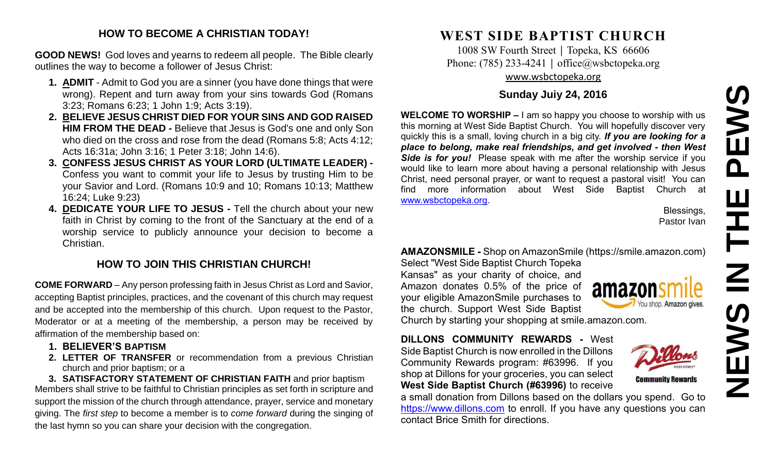# **NEWS IN THE PEWS**PEWS 존  $\overline{z}$ **NEW**

#### **HOW TO BECOME A CHRISTIAN TODAY!**

**GOOD NEWS!** God loves and yearns to redeem all people. The Bible clearly outlines the way to become a follower of Jesus Christ:

- **1. ADMIT** Admit to God you are a sinner (you have done things that were wrong). Repent and turn away from your sins towards God (Romans 3:23; Romans 6:23; 1 John 1:9; Acts 3:19).
- **2. BELIEVE JESUS CHRIST DIED FOR YOUR SINS AND GOD RAISED HIM FROM THE DEAD -** Believe that Jesus is God's one and only Son who died on the cross and rose from the dead (Romans 5:8; Acts 4:12; Acts 16:31a; John 3:16; 1 Peter 3:18; John 14:6).
- **3. CONFESS JESUS CHRIST AS YOUR LORD (ULTIMATE LEADER) -** Confess you want to commit your life to Jesus by trusting Him to be your Savior and Lord. (Romans 10:9 and 10; Romans 10:13; Matthew 16:24; Luke 9:23)
- **4. DEDICATE YOUR LIFE TO JESUS -** Tell the church about your new faith in Christ by coming to the front of the Sanctuary at the end of a worship service to publicly announce your decision to become a Christian.

#### **HOW TO JOIN THIS CHRISTIAN CHURCH!**

**COME FORWARD** – Any person professing faith in Jesus Christ as Lord and Savior, accepting Baptist principles, practices, and the covenant of this church may request and be accepted into the membership of this church. Upon request to the Pastor, Moderator or at a meeting of the membership, a person may be received by affirmation of the membership based on:

- **1. BELIEVER'S BAPTISM**
- **2. LETTER OF TRANSFER** or recommendation from a previous Christian church and prior baptism; or a

**3. SATISFACTORY STATEMENT OF CHRISTIAN FAITH** and prior baptism Members shall strive to be faithful to Christian principles as set forth in scripture and support the mission of the church through attendance, prayer, service and monetary giving. The *first step* to become a member is to *come forward* during the singing of the last hymn so you can share your decision with the congregation.

# **WEST SIDE BAPTIST CHURCH**

1008 SW Fourth Street | Topeka, KS 66606 Phone: (785) 233-4241 │ [office@wsbctopeka.org](mailto:office@wsbctopeka.org) [www.wsbctopeka.org](http://www.wsbctopeka.org/)

#### **Sunday Juiy 24, 2016**

**WELCOME TO WORSHIP –** I am so happy you choose to worship with us this morning at West Side Baptist Church. You will hopefully discover very quickly this is a small, loving church in a big city. *If you are looking for a place to belong, make real friendships, and get involved - then West Side is for you!* Please speak with me after the worship service if you would like to learn more about having a personal relationship with Jesus Christ, need personal prayer, or want to request a pastoral visit! You can find more information about West Side Baptist Church at [www.wsbctopeka.org.](http://www.wsbctopeka.org/)

> Blessings, Pastor Ivan

### **AMAZONSMILE -** Shop on AmazonSmile (https://smile.amazon.com)

Select "West Side Baptist Church Topeka Kansas" as your charity of choice, and Amazon donates 0.5% of the price of your eligible AmazonSmile purchases to the church. Support West Side Baptist Church by starting your shopping at smile.amazon.com.



**Community Rewards** 

**DILLONS COMMUNITY REWARDS -** West Side Baptist Church is now enrolled in the Dillons Community Rewards program: #63996. If you shop at Dillons for your groceries, you can select **West Side Baptist Church (#63996)** to receive

a small donation from Dillons based on the dollars you spend. Go to [https://www.dillons.com](https://www.dillons.com/) to enroll. If you have any questions you can contact Brice Smith for directions.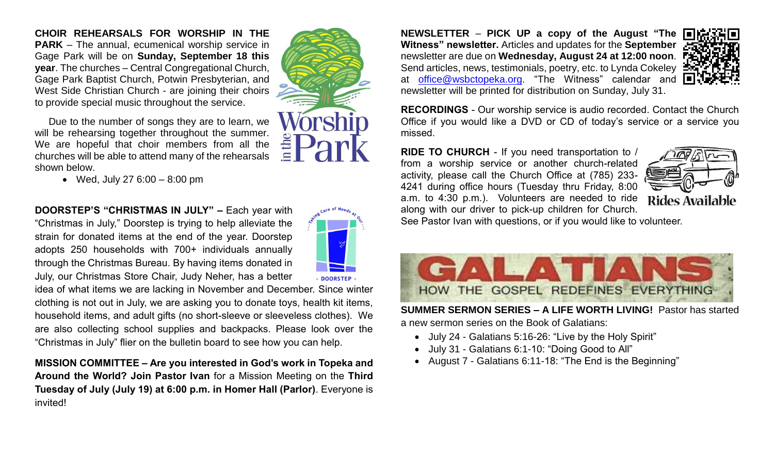**CHOIR REHEARSALS FOR WORSHIP IN THE PARK** – The annual, ecumenical worship service in Gage Park will be on **Sunday, September 18 this year**. The churches – Central Congregational Church, Gage Park Baptist Church, Potwin Presbyterian, and West Side Christian Church - are joining their choirs to provide special music throughout the service.

Due to the number of songs they are to learn, we will be rehearsing together throughout the summer. We are hopeful that choir members from all the churches will be able to attend many of the rehearsals shown below.

Wed, July 27 6:00 – 8:00 pm

**DOORSTEP'S "CHRISTMAS IN JULY" –** Each year with "Christmas in July," Doorstep is trying to help alleviate the strain for donated items at the end of the year. Doorstep adopts 250 households with 700+ individuals annually through the Christmas Bureau. By having items donated in July, our Christmas Store Chair, Judy Neher, has a better

idea of what items we are lacking in November and December. Since winter clothing is not out in July, we are asking you to donate toys, health kit items, household items, and adult gifts (no short-sleeve or sleeveless clothes). We are also collecting school supplies and backpacks. Please look over the "Christmas in July" flier on the bulletin board to see how you can help.

**MISSION COMMITTEE – Are you interested in God's work in Topeka and Around the World? Join Pastor Ivan** for a Mission Meeting on the **Third Tuesday of July (July 19) at 6:00 p.m. in Homer Hall (Parlor)**. Everyone is invited!

**NEWSLETTER** – **PICK UP a copy of the August "The Witness" newsletter.** Articles and updates for the **September** newsletter are due on **Wednesday, August 24 at 12:00 noon**. Send articles, news, testimonials, poetry, etc. to Lynda Cokeley : at [office@wsbctopeka.org.](mailto:office@wsbctopeka.org) "The Witness" calendar and newsletter will be printed for distribution on Sunday, July 31.



**RECORDINGS** - Our worship service is audio recorded. Contact the Church Office if you would like a DVD or CD of today's service or a service you missed.

**RIDE TO CHURCH** - If you need transportation to / from a worship service or another church-related activity, please call the Church Office at (785) 233- 4241 during office hours (Tuesday thru Friday, 8:00 a.m. to 4:30 p.m.). Volunteers are needed to ride along with our driver to pick-up children for Church.



See Pastor Ivan with questions, or if you would like to volunteer.



**SUMMER SERMON SERIES – A LIFE WORTH LIVING!** Pastor has started a new sermon series on the Book of Galatians:

- July 24 Galatians 5:16-26: "Live by the Holy Spirit"
- July 31 Galatians 6:1-10: "Doing Good to All"
- August 7 Galatians 6:11-18: "The End is the Beginning"

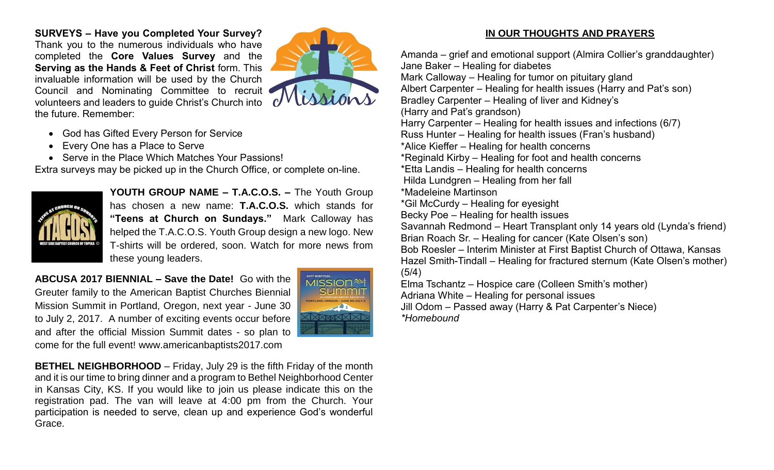**SURVEYS – Have you Completed Your Survey?**  Thank you to the numerous individuals who have completed the **Core Values Survey** and the **Serving as the Hands & Feet of Christ** form. This invaluable information will be used by the Church Council and Nominating Committee to recruit volunteers and leaders to guide Christ's Church into the future. Remember:



- God has Gifted Every Person for Service
- Every One has a Place to Serve
- Serve in the Place Which Matches Your Passions!

Extra surveys may be picked up in the Church Office, or complete on-line.



**YOUTH GROUP NAME – T.A.C.O.S. –** The Youth Group has chosen a new name: **T.A.C.O.S.** which stands for **"Teens at Church on Sundays."** Mark Calloway has helped the T.A.C.O.S. Youth Group design a new logo. New T-shirts will be ordered, soon. Watch for more news from these young leaders.

**ABCUSA 2017 BIENNIAL – Save the Date!** Go with the Greuter family to the American Baptist Churches Biennial Mission Summit in Portland, Oregon, next year - June 30 to July 2, 2017. A number of exciting events occur before and after the official Mission Summit dates - so plan to come for the full event! www.americanbaptists2017.com



**BETHEL NEIGHBORHOOD** – Friday, July 29 is the fifth Friday of the month and it is our time to bring dinner and a program to Bethel Neighborhood Center in Kansas City, KS. If you would like to join us please indicate this on the registration pad. The van will leave at 4:00 pm from the Church. Your participation is needed to serve, clean up and experience God's wonderful Grace.

#### **IN OUR THOUGHTS AND PRAYERS**

Amanda – grief and emotional support (Almira Collier's granddaughter) Jane Baker – Healing for diabetes Mark Calloway – Healing for tumor on pituitary gland Albert Carpenter – Healing for health issues (Harry and Pat's son) Bradley Carpenter – Healing of liver and Kidney's (Harry and Pat's grandson) Harry Carpenter – Healing for health issues and infections (6/7) Russ Hunter – Healing for health issues (Fran's husband) \*Alice Kieffer – Healing for health concerns \*Reginald Kirby – Healing for foot and health concerns \*Etta Landis – Healing for health concerns Hilda Lundgren – Healing from her fall \*Madeleine Martinson \*Gil McCurdy – Healing for eyesight Becky Poe – Healing for health issues Savannah Redmond – Heart Transplant only 14 years old (Lynda's friend) Brian Roach Sr. – Healing for cancer (Kate Olsen's son) Bob Roesler – Interim Minister at First Baptist Church of Ottawa, Kansas Hazel Smith-Tindall – Healing for fractured sternum (Kate Olsen's mother) (5/4) Elma Tschantz – Hospice care (Colleen Smith's mother) Adriana White – Healing for personal issues Jill Odom – Passed away (Harry & Pat Carpenter's Niece) *\*Homebound*